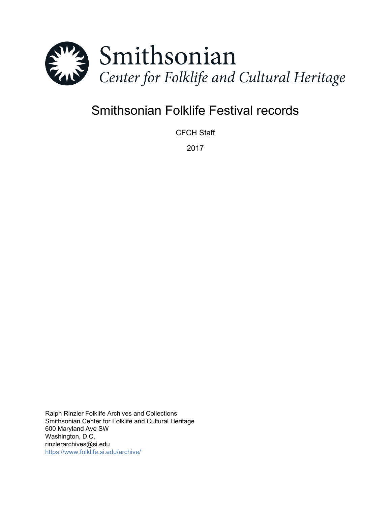

# Smithsonian Folklife Festival records

CFCH Staff

2017

Ralph Rinzler Folklife Archives and Collections Smithsonian Center for Folklife and Cultural Heritage 600 Maryland Ave SW Washington, D.C. rinzlerarchives@si.edu <https://www.folklife.si.edu/archive/>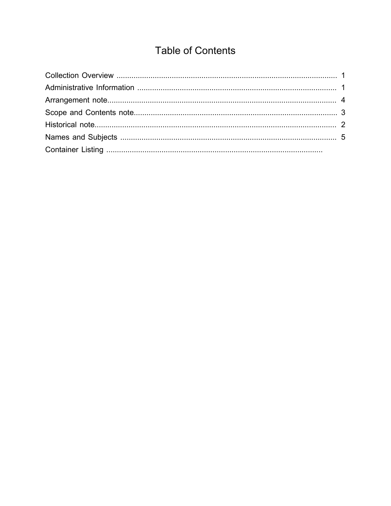# **Table of Contents**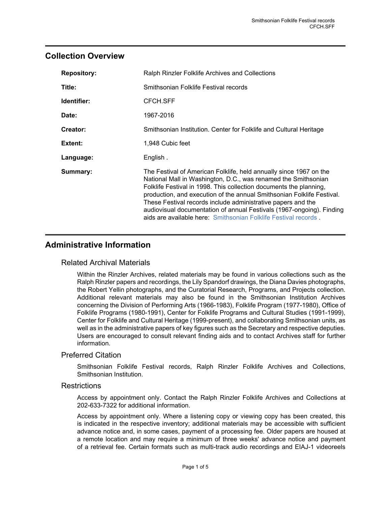# <span id="page-2-0"></span>**Collection Overview**

| <b>Repository:</b> | Ralph Rinzler Folklife Archives and Collections                                                                                                                                                                                                                                                                                                                                                                                                                                                  |
|--------------------|--------------------------------------------------------------------------------------------------------------------------------------------------------------------------------------------------------------------------------------------------------------------------------------------------------------------------------------------------------------------------------------------------------------------------------------------------------------------------------------------------|
| Title:             | Smithsonian Folklife Festival records                                                                                                                                                                                                                                                                                                                                                                                                                                                            |
| Identifier:        | CFCH.SFF                                                                                                                                                                                                                                                                                                                                                                                                                                                                                         |
| Date:              | 1967-2016                                                                                                                                                                                                                                                                                                                                                                                                                                                                                        |
| Creator:           | Smithsonian Institution. Center for Folklife and Cultural Heritage                                                                                                                                                                                                                                                                                                                                                                                                                               |
| Extent:            | 1,948 Cubic feet                                                                                                                                                                                                                                                                                                                                                                                                                                                                                 |
| Language:          | English.                                                                                                                                                                                                                                                                                                                                                                                                                                                                                         |
| Summary:           | The Festival of American Folklife, held annually since 1967 on the<br>National Mall in Washington, D.C., was renamed the Smithsonian<br>Folklife Festival in 1998. This collection documents the planning,<br>production, and execution of the annual Smithsonian Folklife Festival.<br>These Festival records include administrative papers and the<br>audiovisual documentation of annual Festivals (1967-ongoing). Finding<br>aids are available here: Smithsonian Folklife Festival records. |

# <span id="page-2-1"></span>**Administrative Information**

## Related Archival Materials

Within the Rinzler Archives, related materials may be found in various collections such as the Ralph Rinzler papers and recordings, the Lily Spandorf drawings, the Diana Davies photographs, the Robert Yellin photographs, and the Curatorial Research, Programs, and Projects collection. Additional relevant materials may also be found in the Smithsonian Institution Archives concerning the Division of Performing Arts (1966-1983), Folklife Program (1977-1980), Office of Folklife Programs (1980-1991), Center for Folklife Programs and Cultural Studies (1991-1999), Center for Folklife and Cultural Heritage (1999-present), and collaborating Smithsonian units, as well as in the administrative papers of key figures such as the Secretary and respective deputies. Users are encouraged to consult relevant finding aids and to contact Archives staff for further information.

### Preferred Citation

Smithsonian Folklife Festival records, Ralph Rinzler Folklife Archives and Collections, Smithsonian Institution.

### **Restrictions**

Access by appointment only. Contact the Ralph Rinzler Folklife Archives and Collections at 202-633-7322 for additional information.

Access by appointment only. Where a listening copy or viewing copy has been created, this is indicated in the respective inventory; additional materials may be accessible with sufficient advance notice and, in some cases, payment of a processing fee. Older papers are housed at a remote location and may require a minimum of three weeks' advance notice and payment of a retrieval fee. Certain formats such as multi-track audio recordings and EIAJ-1 videoreels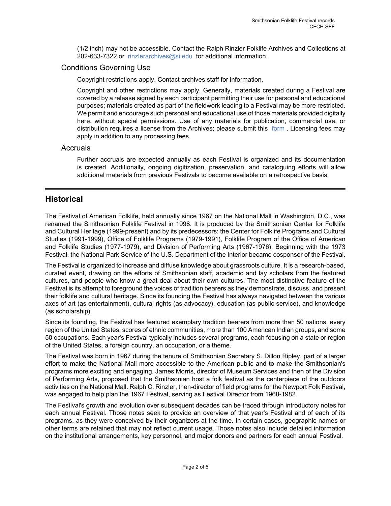(1/2 inch) may not be accessible. Contact the Ralph Rinzler Folklife Archives and Collections at 202-633-7322 or [rinzlerarchives@si.edu](mailto:rinzlerarchives@si.edu) for additional information.

## Conditions Governing Use

Copyright restrictions apply. Contact archives staff for information.

Copyright and other restrictions may apply. Generally, materials created during a Festival are covered by a release signed by each participant permitting their use for personal and educational purposes; materials created as part of the fieldwork leading to a Festival may be more restricted. We permit and encourage such personal and educational use of those materials provided digitally here, without special permissions. Use of any materials for publication, commercial use, or distribution requires a license from the Archives; please submit this [form](http://media.smithsonianfolkways.org/docs/CFCH_Image_Permission_Form.pdf) . Licensing fees may apply in addition to any processing fees.

#### Accruals

Further accruals are expected annually as each Festival is organized and its documentation is created. Additionally, ongoing digitization, preservation, and cataloguing efforts will allow additional materials from previous Festivals to become available on a retrospective basis.

# <span id="page-3-0"></span>**Historical**

The Festival of American Folklife, held annually since 1967 on the National Mall in Washington, D.C., was renamed the Smithsonian Folklife Festival in 1998. It is produced by the Smithsonian Center for Folklife and Cultural Heritage (1999-present) and by its predecessors: the Center for Folklife Programs and Cultural Studies (1991-1999), Office of Folklife Programs (1979-1991), Folklife Program of the Office of American and Folklife Studies (1977-1979), and Division of Performing Arts (1967-1976). Beginning with the 1973 Festival, the National Park Service of the U.S. Department of the Interior became cosponsor of the Festival.

The Festival is organized to increase and diffuse knowledge about grassroots culture. It is a research-based, curated event, drawing on the efforts of Smithsonian staff, academic and lay scholars from the featured cultures, and people who know a great deal about their own cultures. The most distinctive feature of the Festival is its attempt to foreground the voices of tradition bearers as they demonstrate, discuss, and present their folklife and cultural heritage. Since its founding the Festival has always navigated between the various axes of art (as entertainment), cultural rights (as advocacy), education (as public service), and knowledge (as scholarship).

Since its founding, the Festival has featured exemplary tradition bearers from more than 50 nations, every region of the United States, scores of ethnic communities, more than 100 American Indian groups, and some 50 occupations. Each year's Festival typically includes several programs, each focusing on a state or region of the United States, a foreign country, an occupation, or a theme.

The Festival was born in 1967 during the tenure of Smithsonian Secretary S. Dillon Ripley, part of a larger effort to make the National Mall more accessible to the American public and to make the Smithsonian's programs more exciting and engaging. James Morris, director of Museum Services and then of the Division of Performing Arts, proposed that the Smithsonian host a folk festival as the centerpiece of the outdoors activities on the National Mall. Ralph C. Rinzler, then-director of field programs for the Newport Folk Festival, was engaged to help plan the 1967 Festival, serving as Festival Director from 1968-1982.

The Festival's growth and evolution over subsequent decades can be traced through introductory notes for each annual Festival. Those notes seek to provide an overview of that year's Festival and of each of its programs, as they were conceived by their organizers at the time. In certain cases, geographic names or other terms are retained that may not reflect current usage. Those notes also include detailed information on the institutional arrangements, key personnel, and major donors and partners for each annual Festival.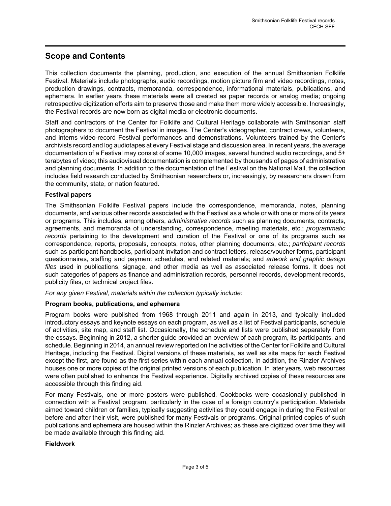# <span id="page-4-0"></span>**Scope and Contents**

This collection documents the planning, production, and execution of the annual Smithsonian Folklife Festival. Materials include photographs, audio recordings, motion picture film and video recordings, notes, production drawings, contracts, memoranda, correspondence, informational materials, publications, and ephemera. In earlier years these materials were all created as paper records or analog media; ongoing retrospective digitization efforts aim to preserve those and make them more widely accessible. Increasingly, the Festival records are now born as digital media or electronic documents.

Staff and contractors of the Center for Folklife and Cultural Heritage collaborate with Smithsonian staff photographers to document the Festival in images. The Center's videographer, contract crews, volunteers, and interns video-record Festival performances and demonstrations. Volunteers trained by the Center's archivists record and log audiotapes at every Festival stage and discussion area. In recent years, the average documentation of a Festival may consist of some 10,000 images, several hundred audio recordings, and 5+ terabytes of video; this audiovisual documentation is complemented by thousands of pages of administrative and planning documents. In addition to the documentation of the Festival on the National Mall, the collection includes field research conducted by Smithsonian researchers or, increasingly, by researchers drawn from the community, state, or nation featured.

#### **Festival papers**

The Smithsonian Folklife Festival papers include the correspondence, memoranda, notes, planning documents, and various other records associated with the Festival as a whole or with one or more of its years or programs. This includes, among others, *administrative records* such as planning documents, contracts, agreements, and memoranda of understanding, correspondence, meeting materials, etc.; programmatic records pertaining to the development and curation of the Festival or one of its programs such as correspondence, reports, proposals, concepts, notes, other planning documents, etc.; participant records such as participant handbooks, participant invitation and contract letters, release/voucher forms, participant questionnaires, staffing and payment schedules, and related materials; and artwork and graphic design files used in publications, signage, and other media as well as associated release forms. It does not such categories of papers as finance and administration records, personnel records, development records, publicity files, or technical project files.

For any given Festival, materials within the collection typically include:

#### **Program books, publications, and ephemera**

Program books were published from 1968 through 2011 and again in 2013, and typically included introductory essays and keynote essays on each program, as well as a list of Festival participants, schedule of activities, site map, and staff list. Occasionally, the schedule and lists were published separately from the essays. Beginning in 2012, a shorter guide provided an overview of each program, its participants, and schedule. Beginning in 2014, an annual review reported on the activities of the Center for Folklife and Cultural Heritage, including the Festival. Digital versions of these materials, as well as site maps for each Festival except the first, are found as the first series within each annual collection. In addition, the Rinzler Archives houses one or more copies of the original printed versions of each publication. In later years, web resources were often published to enhance the Festival experience. Digitally archived copies of these resources are accessible through this finding aid.

For many Festivals, one or more posters were published. Cookbooks were occasionally published in connection with a Festival program, particularly in the case of a foreign country's participation. Materials aimed toward children or families, typically suggesting activities they could engage in during the Festival or before and after their visit, were published for many Festivals or programs. Original printed copies of such publications and ephemera are housed within the Rinzler Archives; as these are digitized over time they will be made available through this finding aid.

#### **Fieldwork**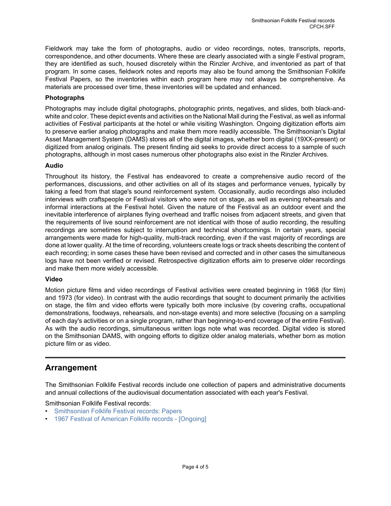Fieldwork may take the form of photographs, audio or video recordings, notes, transcripts, reports, correspondence, and other documents. Where these are clearly associated with a single Festival program, they are identified as such, housed discretely within the Rinzler Archive, and inventoried as part of that program. In some cases, fieldwork notes and reports may also be found among the Smithsonian Folklife Festival Papers, so the inventories within each program here may not always be comprehensive. As materials are processed over time, these inventories will be updated and enhanced.

#### **Photographs**

Photographs may include digital photographs, photographic prints, negatives, and slides, both black-andwhite and color. These depict events and activities on the National Mall during the Festival, as well as informal activities of Festival participants at the hotel or while visiting Washington. Ongoing digitization efforts aim to preserve earlier analog photographs and make them more readily accessible. The Smithsonian's Digital Asset Management System (DAMS) stores all of the digital images, whether born digital (19XX-present) or digitized from analog originals. The present finding aid seeks to provide direct access to a sample of such photographs, although in most cases numerous other photographs also exist in the Rinzler Archives.

#### **Audio**

Throughout its history, the Festival has endeavored to create a comprehensive audio record of the performances, discussions, and other activities on all of its stages and performance venues, typically by taking a feed from that stage's sound reinforcement system. Occasionally, audio recordings also included interviews with craftspeople or Festival visitors who were not on stage, as well as evening rehearsals and informal interactions at the Festival hotel. Given the nature of the Festival as an outdoor event and the inevitable interference of airplanes flying overhead and traffic noises from adjacent streets, and given that the requirements of live sound reinforcement are not identical with those of audio recording, the resulting recordings are sometimes subject to interruption and technical shortcomings. In certain years, special arrangements were made for high-quality, multi-track recording, even if the vast majority of recordings are done at lower quality. At the time of recording, volunteers create logs or track sheets describing the content of each recording; in some cases these have been revised and corrected and in other cases the simultaneous logs have not been verified or revised. Retrospective digitization efforts aim to preserve older recordings and make them more widely accessible.

#### **Video**

Motion picture films and video recordings of Festival activities were created beginning in 1968 (for film) and 1973 (for video). In contrast with the audio recordings that sought to document primarily the activities on stage, the film and video efforts were typically both more inclusive (by covering crafts, occupational demonstrations, foodways, rehearsals, and non-stage events) and more selective (focusing on a sampling of each day's activities or on a single program, rather than beginning-to-end coverage of the entire Festival). As with the audio recordings, simultaneous written logs note what was recorded. Digital video is stored on the Smithsonian DAMS, with ongoing efforts to digitize older analog materials, whether born as motion picture film or as video.

## <span id="page-5-0"></span>**Arrangement**

The Smithsonian Folklife Festival records include one collection of papers and administrative documents and annual collections of the audiovisual documentation associated with each year's Festival.

Smithsonian Folklife Festival records:

- [Smithsonian Folklife Festival records: Papers](http://sova.si.edu/record/CFCH.SFF.Papers)
- [1967 Festival of American Folklife records \[Ongoing\]](http://sova.si.edu/search?q=%22Smithsonian%20Folklife%20Festival%20records%22&f=name%3ASmithsonian+Institution.+Center+for+Folklife+and+Cultural+Heritage)